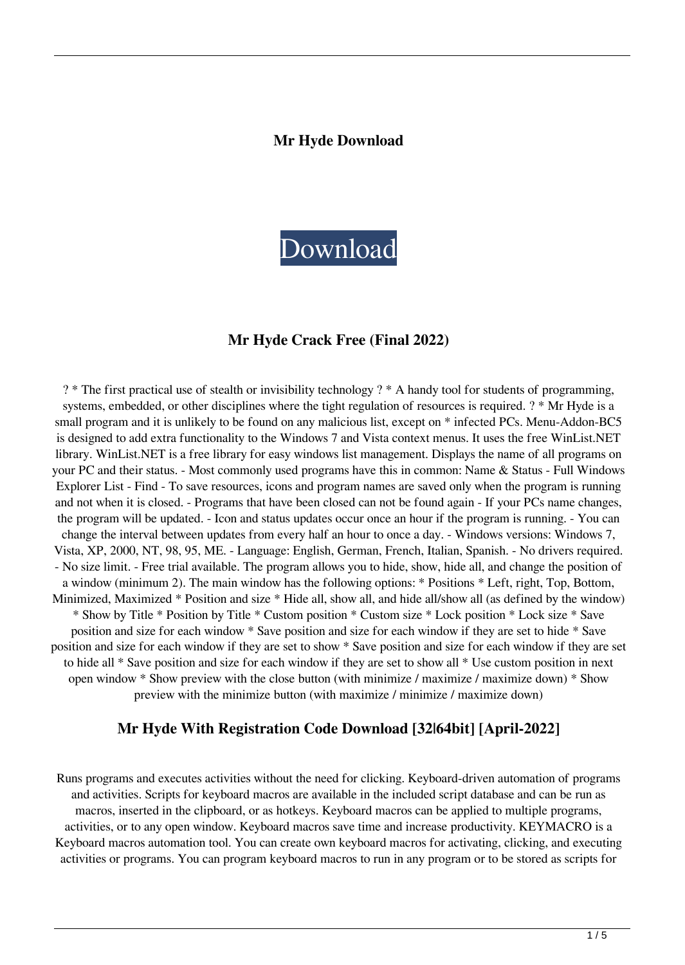#### **Mr Hyde Download**



#### **Mr Hyde Crack Free (Final 2022)**

? \* The first practical use of stealth or invisibility technology ? \* A handy tool for students of programming, systems, embedded, or other disciplines where the tight regulation of resources is required. ? \* Mr Hyde is a small program and it is unlikely to be found on any malicious list, except on \* infected PCs. Menu-Addon-BC5 is designed to add extra functionality to the Windows 7 and Vista context menus. It uses the free WinList.NET library. WinList.NET is a free library for easy windows list management. Displays the name of all programs on your PC and their status. - Most commonly used programs have this in common: Name & Status - Full Windows Explorer List - Find - To save resources, icons and program names are saved only when the program is running and not when it is closed. - Programs that have been closed can not be found again - If your PCs name changes, the program will be updated. - Icon and status updates occur once an hour if the program is running. - You can change the interval between updates from every half an hour to once a day. - Windows versions: Windows 7, Vista, XP, 2000, NT, 98, 95, ME. - Language: English, German, French, Italian, Spanish. - No drivers required. - No size limit. - Free trial available. The program allows you to hide, show, hide all, and change the position of a window (minimum 2). The main window has the following options: \* Positions \* Left, right, Top, Bottom, Minimized, Maximized \* Position and size \* Hide all, show all, and hide all/show all (as defined by the window) \* Show by Title \* Position by Title \* Custom position \* Custom size \* Lock position \* Lock size \* Save position and size for each window \* Save position and size for each window if they are set to hide \* Save position and size for each window if they are set to show \* Save position and size for each window if they are set to hide all \* Save position and size for each window if they are set to show all \* Use custom position in next open window \* Show preview with the close button (with minimize / maximize / maximize down) \* Show preview with the minimize button (with maximize / minimize / maximize down)

#### **Mr Hyde With Registration Code Download [32|64bit] [April-2022]**

Runs programs and executes activities without the need for clicking. Keyboard-driven automation of programs and activities. Scripts for keyboard macros are available in the included script database and can be run as macros, inserted in the clipboard, or as hotkeys. Keyboard macros can be applied to multiple programs, activities, or to any open window. Keyboard macros save time and increase productivity. KEYMACRO is a Keyboard macros automation tool. You can create own keyboard macros for activating, clicking, and executing activities or programs. You can program keyboard macros to run in any program or to be stored as scripts for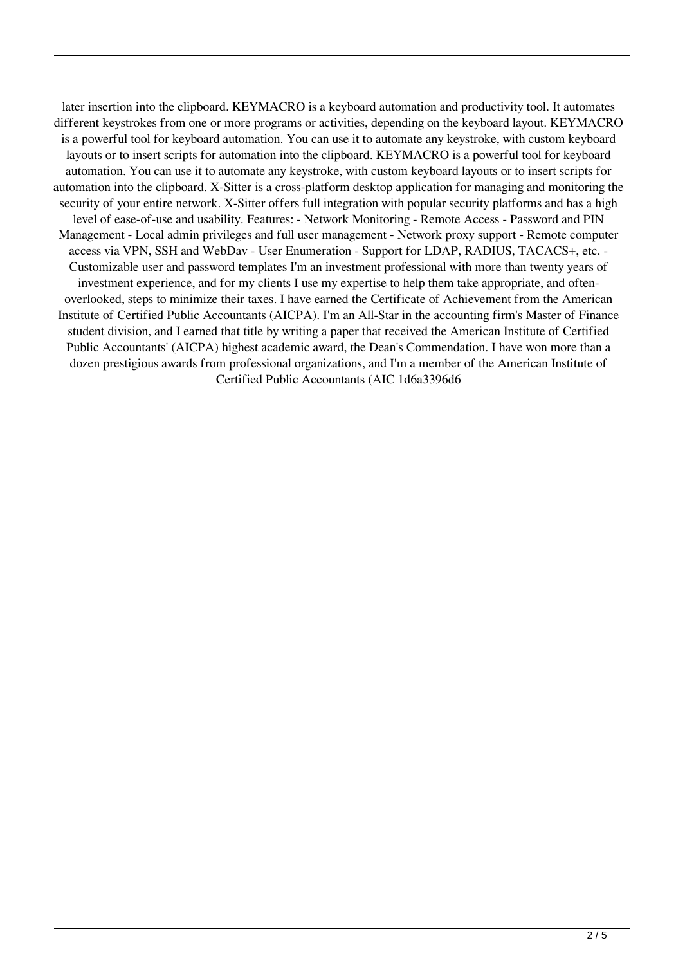later insertion into the clipboard. KEYMACRO is a keyboard automation and productivity tool. It automates different keystrokes from one or more programs or activities, depending on the keyboard layout. KEYMACRO is a powerful tool for keyboard automation. You can use it to automate any keystroke, with custom keyboard layouts or to insert scripts for automation into the clipboard. KEYMACRO is a powerful tool for keyboard automation. You can use it to automate any keystroke, with custom keyboard layouts or to insert scripts for automation into the clipboard. X-Sitter is a cross-platform desktop application for managing and monitoring the security of your entire network. X-Sitter offers full integration with popular security platforms and has a high level of ease-of-use and usability. Features: - Network Monitoring - Remote Access - Password and PIN Management - Local admin privileges and full user management - Network proxy support - Remote computer access via VPN, SSH and WebDav - User Enumeration - Support for LDAP, RADIUS, TACACS+, etc. - Customizable user and password templates I'm an investment professional with more than twenty years of investment experience, and for my clients I use my expertise to help them take appropriate, and oftenoverlooked, steps to minimize their taxes. I have earned the Certificate of Achievement from the American Institute of Certified Public Accountants (AICPA). I'm an All-Star in the accounting firm's Master of Finance student division, and I earned that title by writing a paper that received the American Institute of Certified Public Accountants' (AICPA) highest academic award, the Dean's Commendation. I have won more than a dozen prestigious awards from professional organizations, and I'm a member of the American Institute of Certified Public Accountants (AIC 1d6a3396d6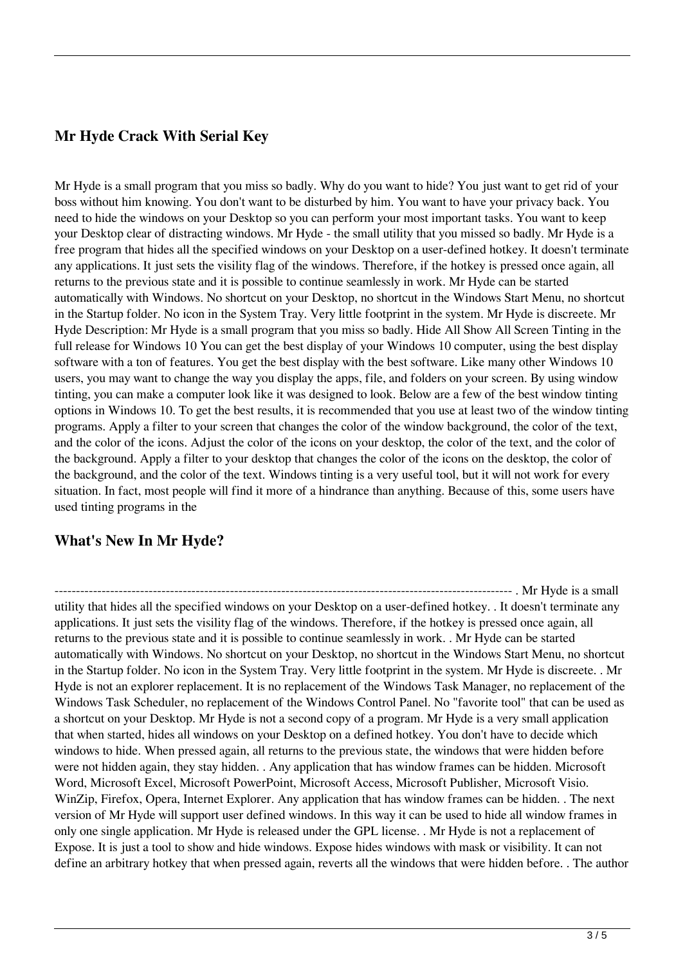# **Mr Hyde Crack With Serial Key**

Mr Hyde is a small program that you miss so badly. Why do you want to hide? You just want to get rid of your boss without him knowing. You don't want to be disturbed by him. You want to have your privacy back. You need to hide the windows on your Desktop so you can perform your most important tasks. You want to keep your Desktop clear of distracting windows. Mr Hyde - the small utility that you missed so badly. Mr Hyde is a free program that hides all the specified windows on your Desktop on a user-defined hotkey. It doesn't terminate any applications. It just sets the visility flag of the windows. Therefore, if the hotkey is pressed once again, all returns to the previous state and it is possible to continue seamlessly in work. Mr Hyde can be started automatically with Windows. No shortcut on your Desktop, no shortcut in the Windows Start Menu, no shortcut in the Startup folder. No icon in the System Tray. Very little footprint in the system. Mr Hyde is discreete. Mr Hyde Description: Mr Hyde is a small program that you miss so badly. Hide All Show All Screen Tinting in the full release for Windows 10 You can get the best display of your Windows 10 computer, using the best display software with a ton of features. You get the best display with the best software. Like many other Windows 10 users, you may want to change the way you display the apps, file, and folders on your screen. By using window tinting, you can make a computer look like it was designed to look. Below are a few of the best window tinting options in Windows 10. To get the best results, it is recommended that you use at least two of the window tinting programs. Apply a filter to your screen that changes the color of the window background, the color of the text, and the color of the icons. Adjust the color of the icons on your desktop, the color of the text, and the color of the background. Apply a filter to your desktop that changes the color of the icons on the desktop, the color of the background, and the color of the text. Windows tinting is a very useful tool, but it will not work for every situation. In fact, most people will find it more of a hindrance than anything. Because of this, some users have used tinting programs in the

# **What's New In Mr Hyde?**

----------------------------------------------------------------------------------------------------------- . Mr Hyde is a small utility that hides all the specified windows on your Desktop on a user-defined hotkey. . It doesn't terminate any applications. It just sets the visility flag of the windows. Therefore, if the hotkey is pressed once again, all returns to the previous state and it is possible to continue seamlessly in work. . Mr Hyde can be started automatically with Windows. No shortcut on your Desktop, no shortcut in the Windows Start Menu, no shortcut in the Startup folder. No icon in the System Tray. Very little footprint in the system. Mr Hyde is discreete. . Mr Hyde is not an explorer replacement. It is no replacement of the Windows Task Manager, no replacement of the Windows Task Scheduler, no replacement of the Windows Control Panel. No "favorite tool" that can be used as a shortcut on your Desktop. Mr Hyde is not a second copy of a program. Mr Hyde is a very small application that when started, hides all windows on your Desktop on a defined hotkey. You don't have to decide which windows to hide. When pressed again, all returns to the previous state, the windows that were hidden before were not hidden again, they stay hidden. . Any application that has window frames can be hidden. Microsoft Word, Microsoft Excel, Microsoft PowerPoint, Microsoft Access, Microsoft Publisher, Microsoft Visio. WinZip, Firefox, Opera, Internet Explorer. Any application that has window frames can be hidden. . The next version of Mr Hyde will support user defined windows. In this way it can be used to hide all window frames in only one single application. Mr Hyde is released under the GPL license. . Mr Hyde is not a replacement of Expose. It is just a tool to show and hide windows. Expose hides windows with mask or visibility. It can not define an arbitrary hotkey that when pressed again, reverts all the windows that were hidden before. . The author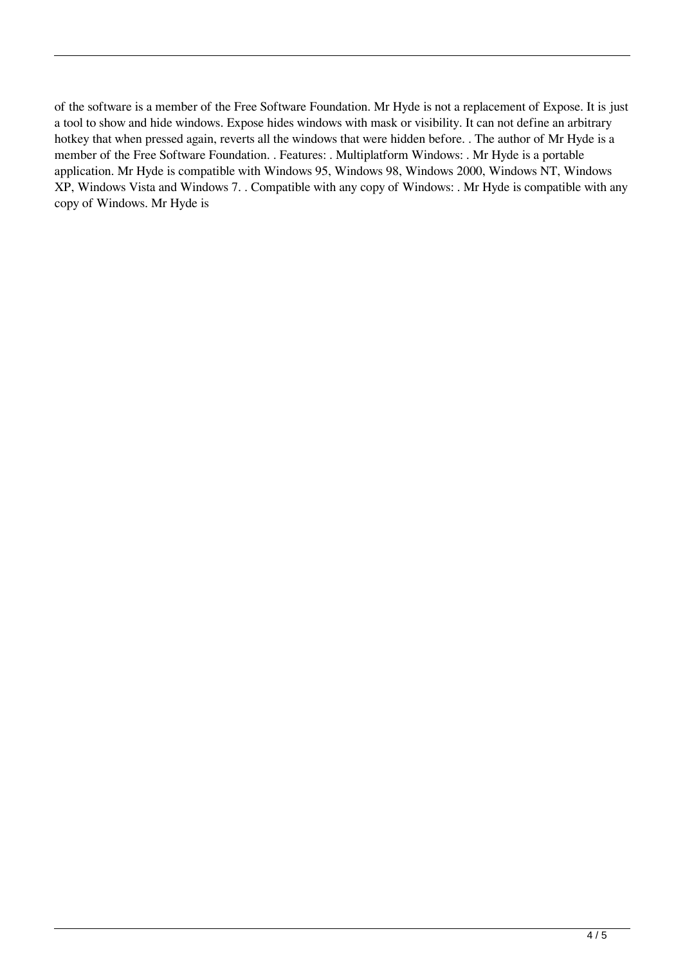of the software is a member of the Free Software Foundation. Mr Hyde is not a replacement of Expose. It is just a tool to show and hide windows. Expose hides windows with mask or visibility. It can not define an arbitrary hotkey that when pressed again, reverts all the windows that were hidden before. . The author of Mr Hyde is a member of the Free Software Foundation. . Features: . Multiplatform Windows: . Mr Hyde is a portable application. Mr Hyde is compatible with Windows 95, Windows 98, Windows 2000, Windows NT, Windows XP, Windows Vista and Windows 7. . Compatible with any copy of Windows: . Mr Hyde is compatible with any copy of Windows. Mr Hyde is